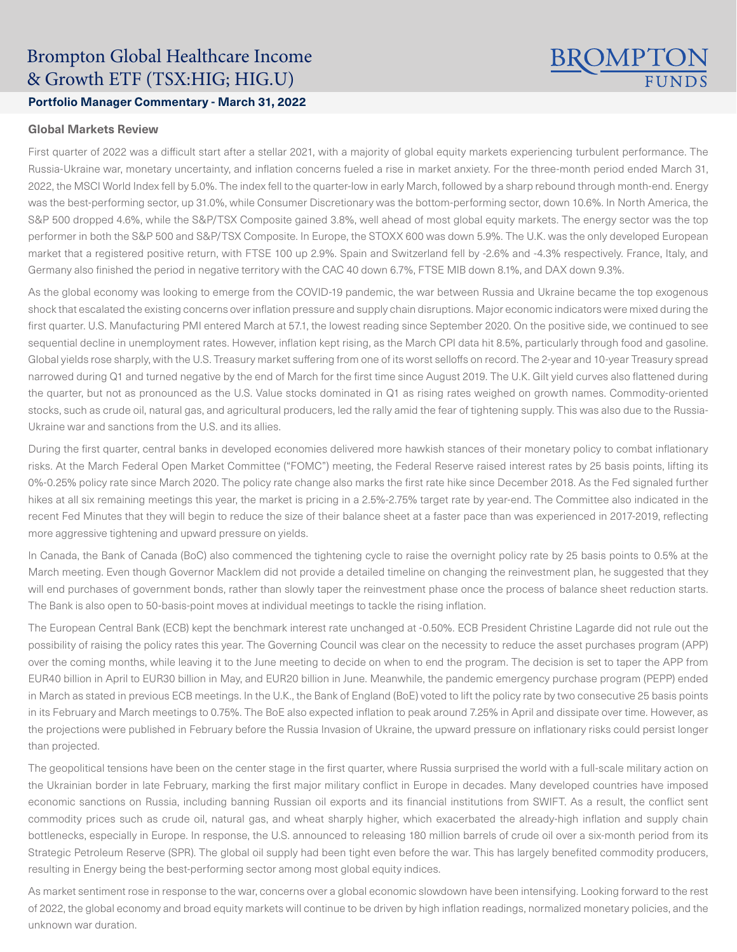### Brompton Global Healthcare Income & Growth ETF (TSX:HIG; HIG.U)

## BROMPT

#### **Portfolio Manager Commentary - March 31, 2022**

#### **Global Markets Review**

First quarter of 2022 was a difficult start after a stellar 2021, with a majority of global equity markets experiencing turbulent performance. The Russia-Ukraine war, monetary uncertainty, and inflation concerns fueled a rise in market anxiety. For the three-month period ended March 31, 2022, the MSCI World Index fell by 5.0%. The index fell to the quarter-low in early March, followed by a sharp rebound through month-end. Energy was the best-performing sector, up 31.0%, while Consumer Discretionary was the bottom-performing sector, down 10.6%. In North America, the S&P 500 dropped 4.6%, while the S&P/TSX Composite gained 3.8%, well ahead of most global equity markets. The energy sector was the top performer in both the S&P 500 and S&P/TSX Composite. In Europe, the STOXX 600 was down 5.9%. The U.K. was the only developed European market that a registered positive return, with FTSE 100 up 2.9%. Spain and Switzerland fell by -2.6% and -4.3% respectively. France, Italy, and Germany also finished the period in negative territory with the CAC 40 down 6.7%, FTSE MIB down 8.1%, and DAX down 9.3%.

As the global economy was looking to emerge from the COVID-19 pandemic, the war between Russia and Ukraine became the top exogenous shock that escalated the existing concerns over inflation pressure and supply chain disruptions. Major economic indicators were mixed during the first quarter. U.S. Manufacturing PMI entered March at 57.1, the lowest reading since September 2020. On the positive side, we continued to see sequential decline in unemployment rates. However, inflation kept rising, as the March CPI data hit 8.5%, particularly through food and gasoline. Global yields rose sharply, with the U.S. Treasury market suffering from one of its worst selloffs on record. The 2-year and 10-year Treasury spread narrowed during Q1 and turned negative by the end of March for the first time since August 2019. The U.K. Gilt yield curves also flattened during the quarter, but not as pronounced as the U.S. Value stocks dominated in Q1 as rising rates weighed on growth names. Commodity-oriented stocks, such as crude oil, natural gas, and agricultural producers, led the rally amid the fear of tightening supply. This was also due to the Russia-Ukraine war and sanctions from the U.S. and its allies.

During the first quarter, central banks in developed economies delivered more hawkish stances of their monetary policy to combat inflationary risks. At the March Federal Open Market Committee ("FOMC") meeting, the Federal Reserve raised interest rates by 25 basis points, lifting its 0%-0.25% policy rate since March 2020. The policy rate change also marks the first rate hike since December 2018. As the Fed signaled further hikes at all six remaining meetings this year, the market is pricing in a 2.5%-2.75% target rate by year-end. The Committee also indicated in the recent Fed Minutes that they will begin to reduce the size of their balance sheet at a faster pace than was experienced in 2017-2019, reflecting more aggressive tightening and upward pressure on yields.

In Canada, the Bank of Canada (BoC) also commenced the tightening cycle to raise the overnight policy rate by 25 basis points to 0.5% at the March meeting. Even though Governor Macklem did not provide a detailed timeline on changing the reinvestment plan, he suggested that they will end purchases of government bonds, rather than slowly taper the reinvestment phase once the process of balance sheet reduction starts. The Bank is also open to 50-basis-point moves at individual meetings to tackle the rising inflation.

The European Central Bank (ECB) kept the benchmark interest rate unchanged at -0.50%. ECB President Christine Lagarde did not rule out the possibility of raising the policy rates this year. The Governing Council was clear on the necessity to reduce the asset purchases program (APP) over the coming months, while leaving it to the June meeting to decide on when to end the program. The decision is set to taper the APP from EUR40 billion in April to EUR30 billion in May, and EUR20 billion in June. Meanwhile, the pandemic emergency purchase program (PEPP) ended in March as stated in previous ECB meetings. In the U.K., the Bank of England (BoE) voted to lift the policy rate by two consecutive 25 basis points in its February and March meetings to 0.75%. The BoE also expected inflation to peak around 7.25% in April and dissipate over time. However, as the projections were published in February before the Russia Invasion of Ukraine, the upward pressure on inflationary risks could persist longer than projected.

The geopolitical tensions have been on the center stage in the first quarter, where Russia surprised the world with a full-scale military action on the Ukrainian border in late February, marking the first major military conflict in Europe in decades. Many developed countries have imposed economic sanctions on Russia, including banning Russian oil exports and its financial institutions from SWIFT. As a result, the conflict sent commodity prices such as crude oil, natural gas, and wheat sharply higher, which exacerbated the already-high inflation and supply chain bottlenecks, especially in Europe. In response, the U.S. announced to releasing 180 million barrels of crude oil over a six-month period from its Strategic Petroleum Reserve (SPR). The global oil supply had been tight even before the war. This has largely benefited commodity producers, resulting in Energy being the best-performing sector among most global equity indices.

As market sentiment rose in response to the war, concerns over a global economic slowdown have been intensifying. Looking forward to the rest of 2022, the global economy and broad equity markets will continue to be driven by high inflation readings, normalized monetary policies, and the unknown war duration.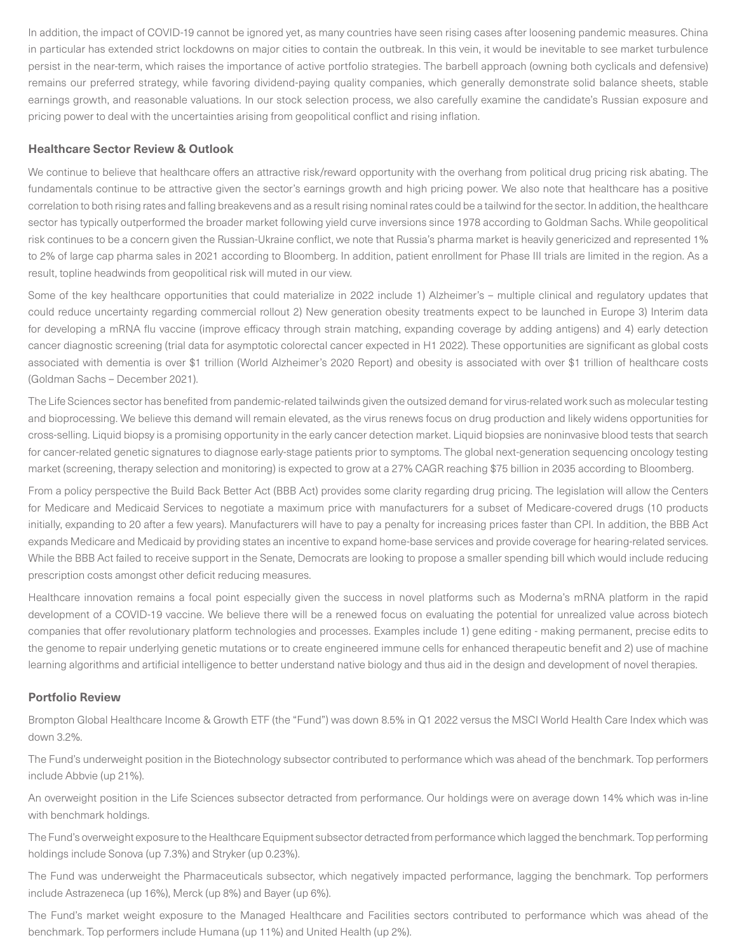In addition, the impact of COVID-19 cannot be ignored yet, as many countries have seen rising cases after loosening pandemic measures. China in particular has extended strict lockdowns on major cities to contain the outbreak. In this vein, it would be inevitable to see market turbulence persist in the near-term, which raises the importance of active portfolio strategies. The barbell approach (owning both cyclicals and defensive) remains our preferred strategy, while favoring dividend-paying quality companies, which generally demonstrate solid balance sheets, stable earnings growth, and reasonable valuations. In our stock selection process, we also carefully examine the candidate's Russian exposure and pricing power to deal with the uncertainties arising from geopolitical conflict and rising inflation.

#### **Healthcare Sector Review & Outlook**

We continue to believe that healthcare offers an attractive risk/reward opportunity with the overhang from political drug pricing risk abating. The fundamentals continue to be attractive given the sector's earnings growth and high pricing power. We also note that healthcare has a positive correlation to both rising rates and falling breakevens and as a result rising nominal rates could be a tailwind for the sector. In addition, the healthcare sector has typically outperformed the broader market following yield curve inversions since 1978 according to Goldman Sachs. While geopolitical risk continues to be a concern given the Russian-Ukraine conflict, we note that Russia's pharma market is heavily genericized and represented 1% to 2% of large cap pharma sales in 2021 according to Bloomberg. In addition, patient enrollment for Phase III trials are limited in the region. As a result, topline headwinds from geopolitical risk will muted in our view.

Some of the key healthcare opportunities that could materialize in 2022 include 1) Alzheimer's – multiple clinical and regulatory updates that could reduce uncertainty regarding commercial rollout 2) New generation obesity treatments expect to be launched in Europe 3) Interim data for developing a mRNA flu vaccine (improve efficacy through strain matching, expanding coverage by adding antigens) and 4) early detection cancer diagnostic screening (trial data for asymptotic colorectal cancer expected in H1 2022). These opportunities are significant as global costs associated with dementia is over \$1 trillion (World Alzheimer's 2020 Report) and obesity is associated with over \$1 trillion of healthcare costs (Goldman Sachs – December 2021).

The Life Sciences sector has benefited from pandemic-related tailwinds given the outsized demand for virus-related work such as molecular testing and bioprocessing. We believe this demand will remain elevated, as the virus renews focus on drug production and likely widens opportunities for cross-selling. Liquid biopsy is a promising opportunity in the early cancer detection market. Liquid biopsies are noninvasive blood tests that search for cancer-related genetic signatures to diagnose early-stage patients prior to symptoms. The global next-generation sequencing oncology testing market (screening, therapy selection and monitoring) is expected to grow at a 27% CAGR reaching \$75 billion in 2035 according to Bloomberg.

From a policy perspective the Build Back Better Act (BBB Act) provides some clarity regarding drug pricing. The legislation will allow the Centers for Medicare and Medicaid Services to negotiate a maximum price with manufacturers for a subset of Medicare-covered drugs (10 products initially, expanding to 20 after a few years). Manufacturers will have to pay a penalty for increasing prices faster than CPI. In addition, the BBB Act expands Medicare and Medicaid by providing states an incentive to expand home-base services and provide coverage for hearing-related services. While the BBB Act failed to receive support in the Senate, Democrats are looking to propose a smaller spending bill which would include reducing prescription costs amongst other deficit reducing measures.

Healthcare innovation remains a focal point especially given the success in novel platforms such as Moderna's mRNA platform in the rapid development of a COVID-19 vaccine. We believe there will be a renewed focus on evaluating the potential for unrealized value across biotech companies that offer revolutionary platform technologies and processes. Examples include 1) gene editing - making permanent, precise edits to the genome to repair underlying genetic mutations or to create engineered immune cells for enhanced therapeutic benefit and 2) use of machine learning algorithms and artificial intelligence to better understand native biology and thus aid in the design and development of novel therapies.

#### **Portfolio Review**

Brompton Global Healthcare Income & Growth ETF (the "Fund") was down 8.5% in Q1 2022 versus the MSCI World Health Care Index which was down 3.2%.

The Fund's underweight position in the Biotechnology subsector contributed to performance which was ahead of the benchmark. Top performers include Abbvie (up 21%).

An overweight position in the Life Sciences subsector detracted from performance. Our holdings were on average down 14% which was in-line with benchmark holdings.

The Fund's overweight exposure to the Healthcare Equipment subsector detracted from performance which lagged the benchmark. Top performing holdings include Sonova (up 7.3%) and Stryker (up 0.23%).

The Fund was underweight the Pharmaceuticals subsector, which negatively impacted performance, lagging the benchmark. Top performers include Astrazeneca (up 16%), Merck (up 8%) and Bayer (up 6%).

The Fund's market weight exposure to the Managed Healthcare and Facilities sectors contributed to performance which was ahead of the benchmark. Top performers include Humana (up 11%) and United Health (up 2%).